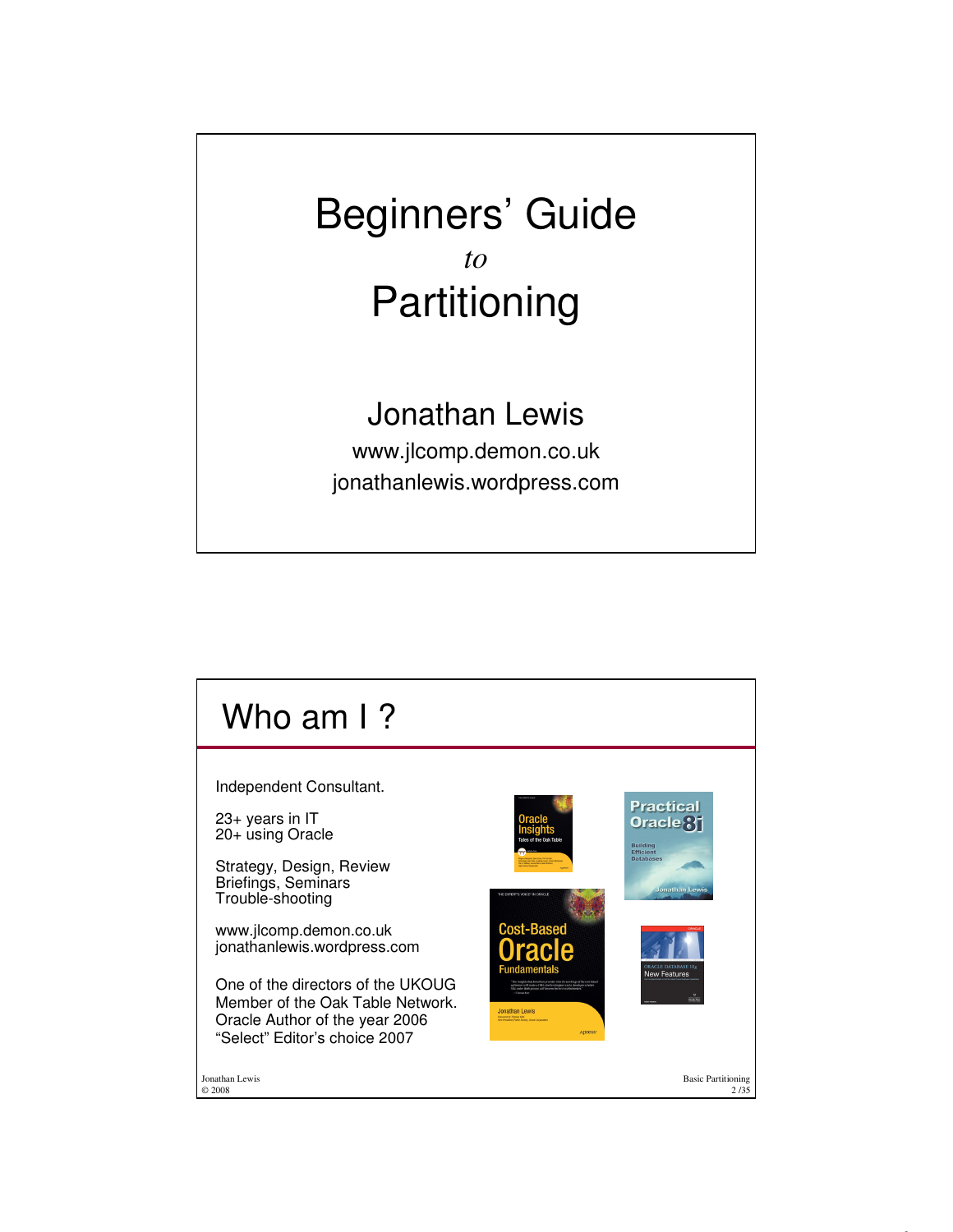## Beginners' Guide *to* Partitioning

## Jonathan Lewis

www.jlcomp.demon.co.uk jonathanlewis.wordpress.com

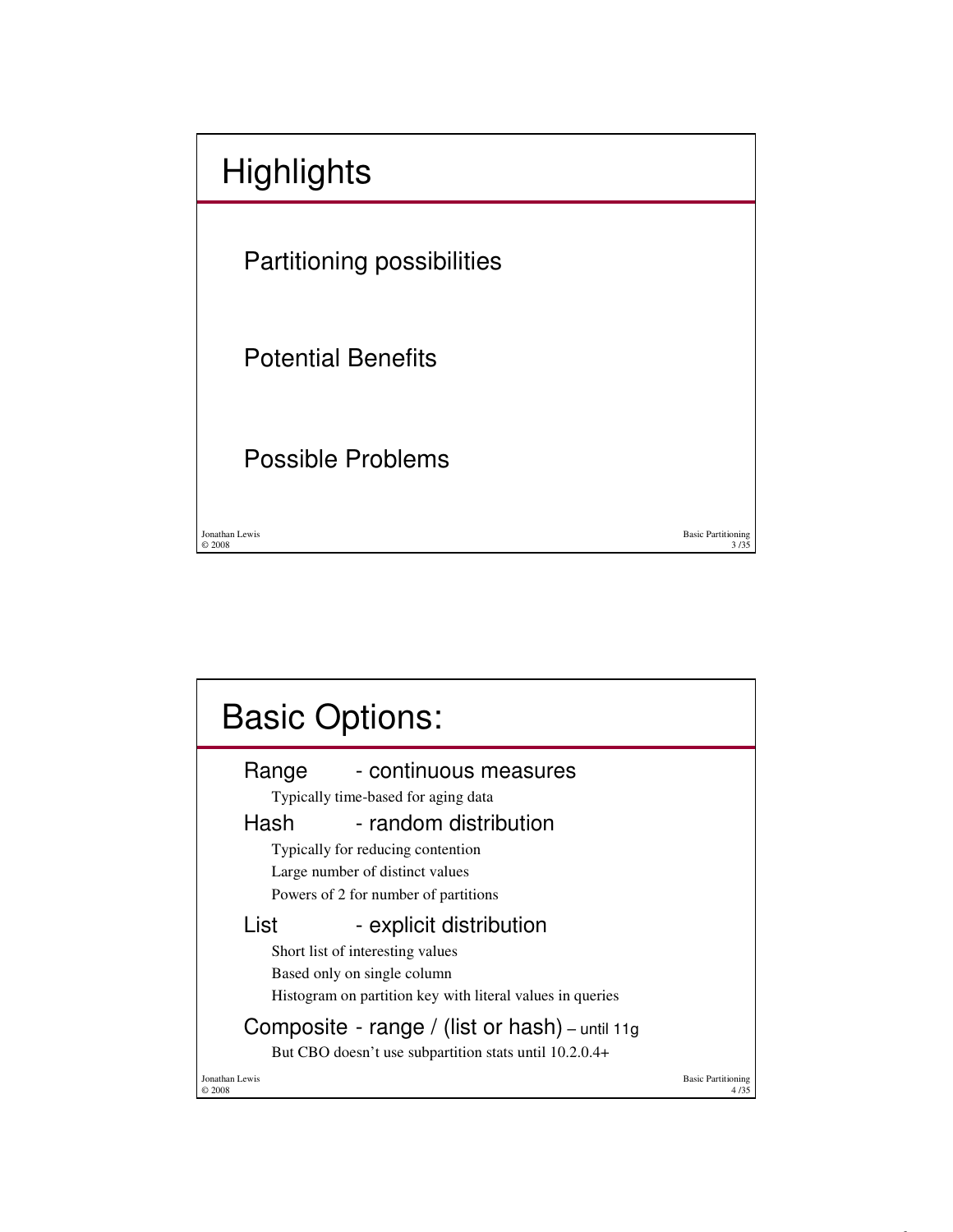| <b>Highlights</b>          |                                   |
|----------------------------|-----------------------------------|
| Partitioning possibilities |                                   |
| <b>Potential Benefits</b>  |                                   |
| <b>Possible Problems</b>   |                                   |
| Jonathan Lewis<br>@2008    | <b>Basic Partitioning</b><br>3735 |

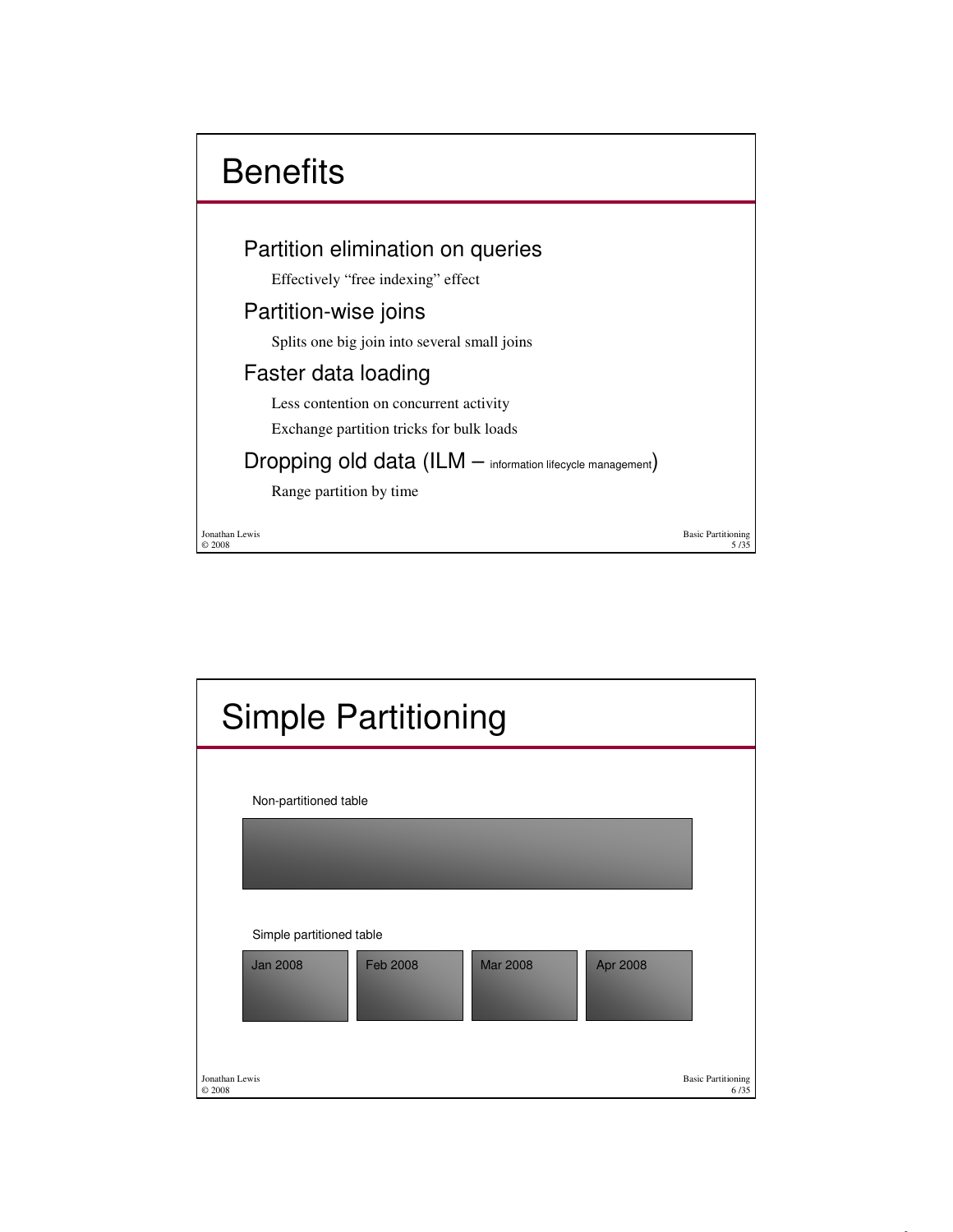

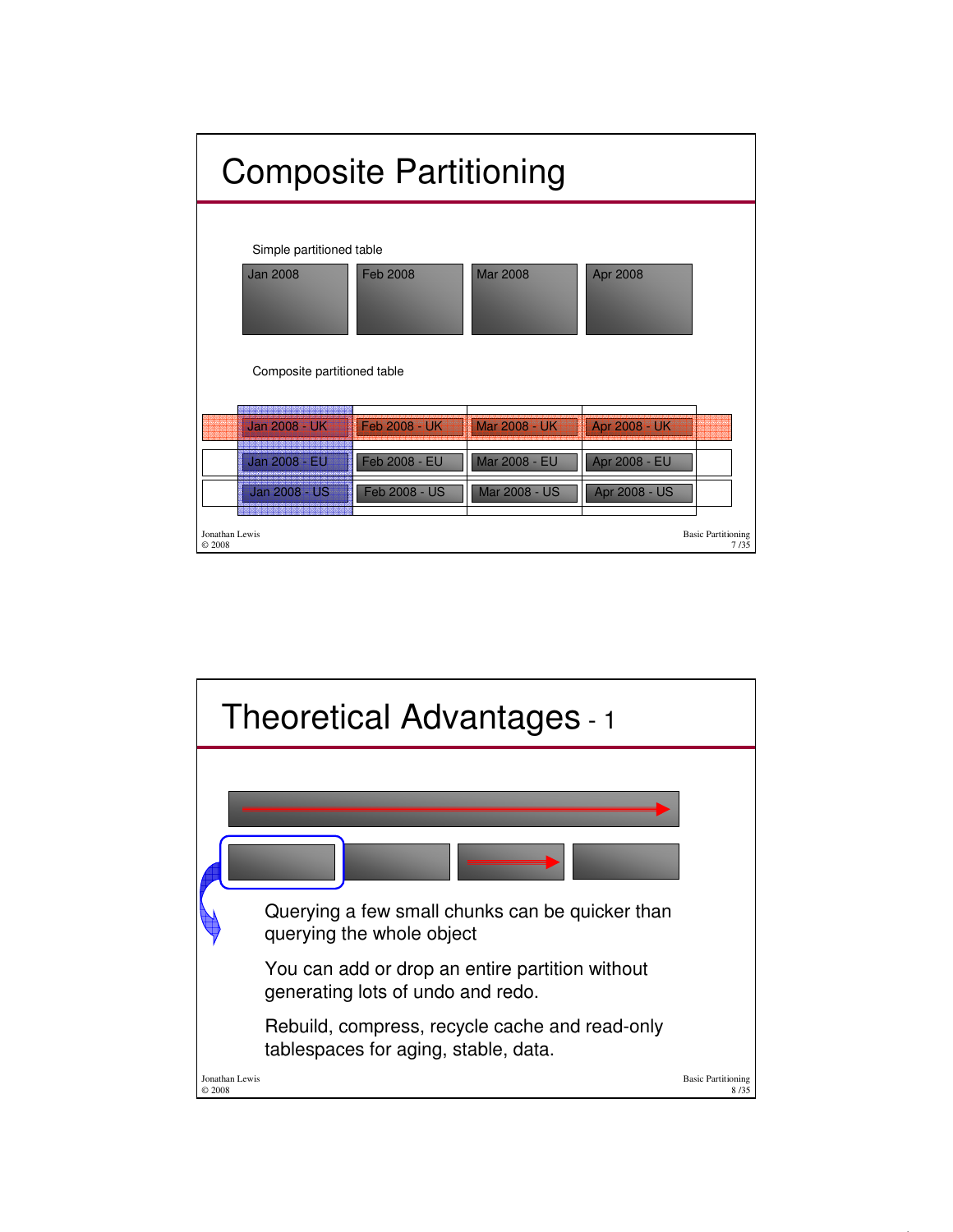

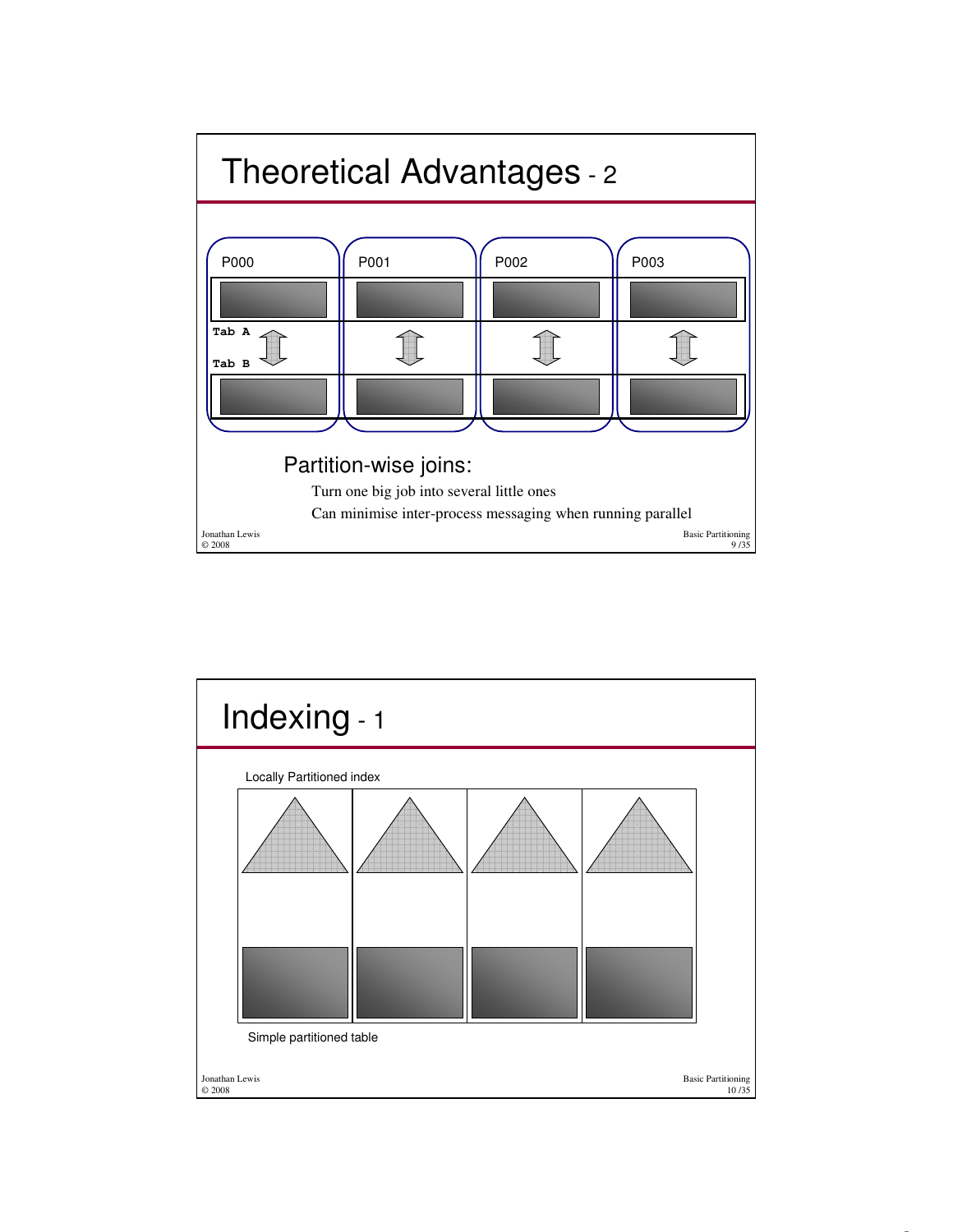

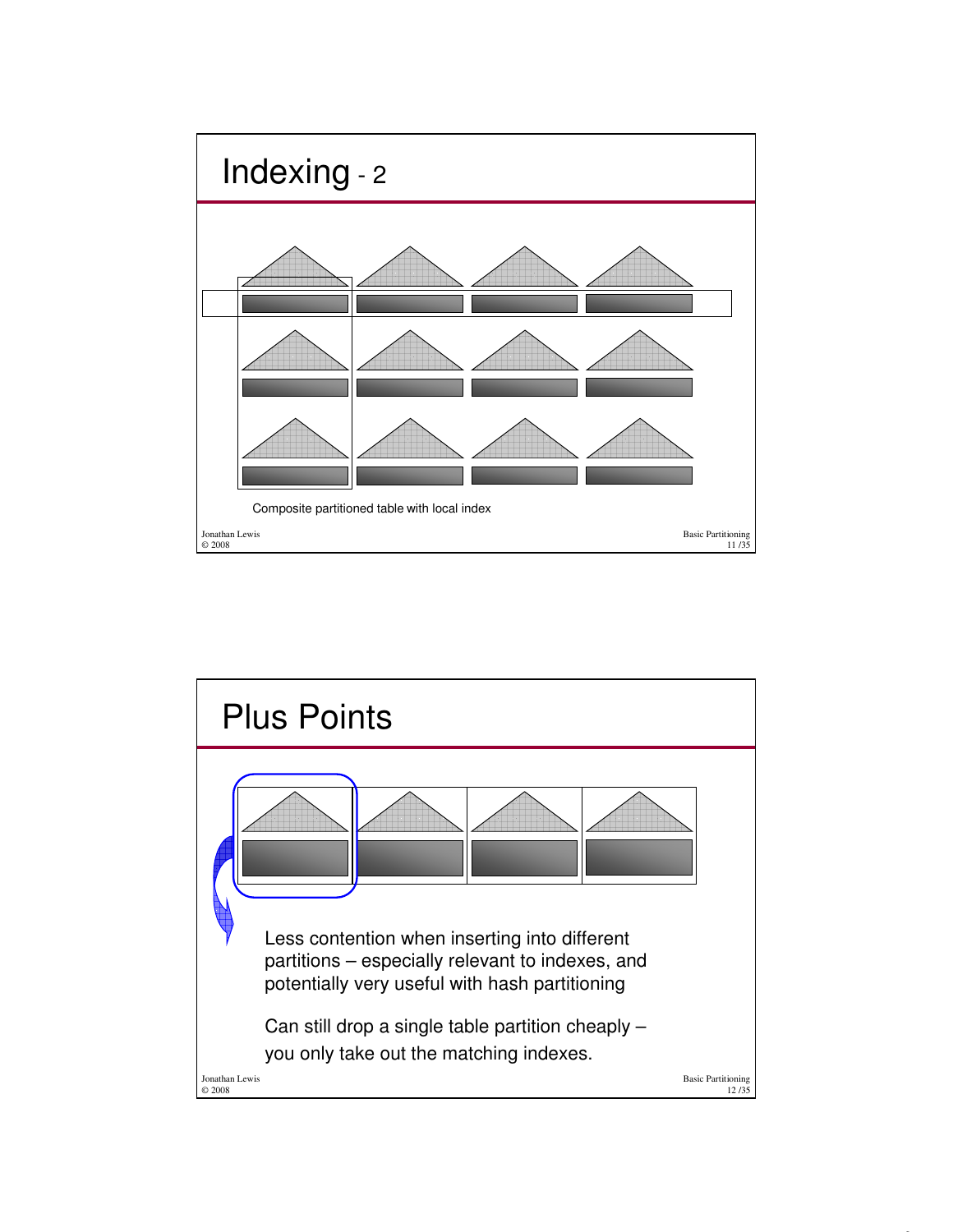

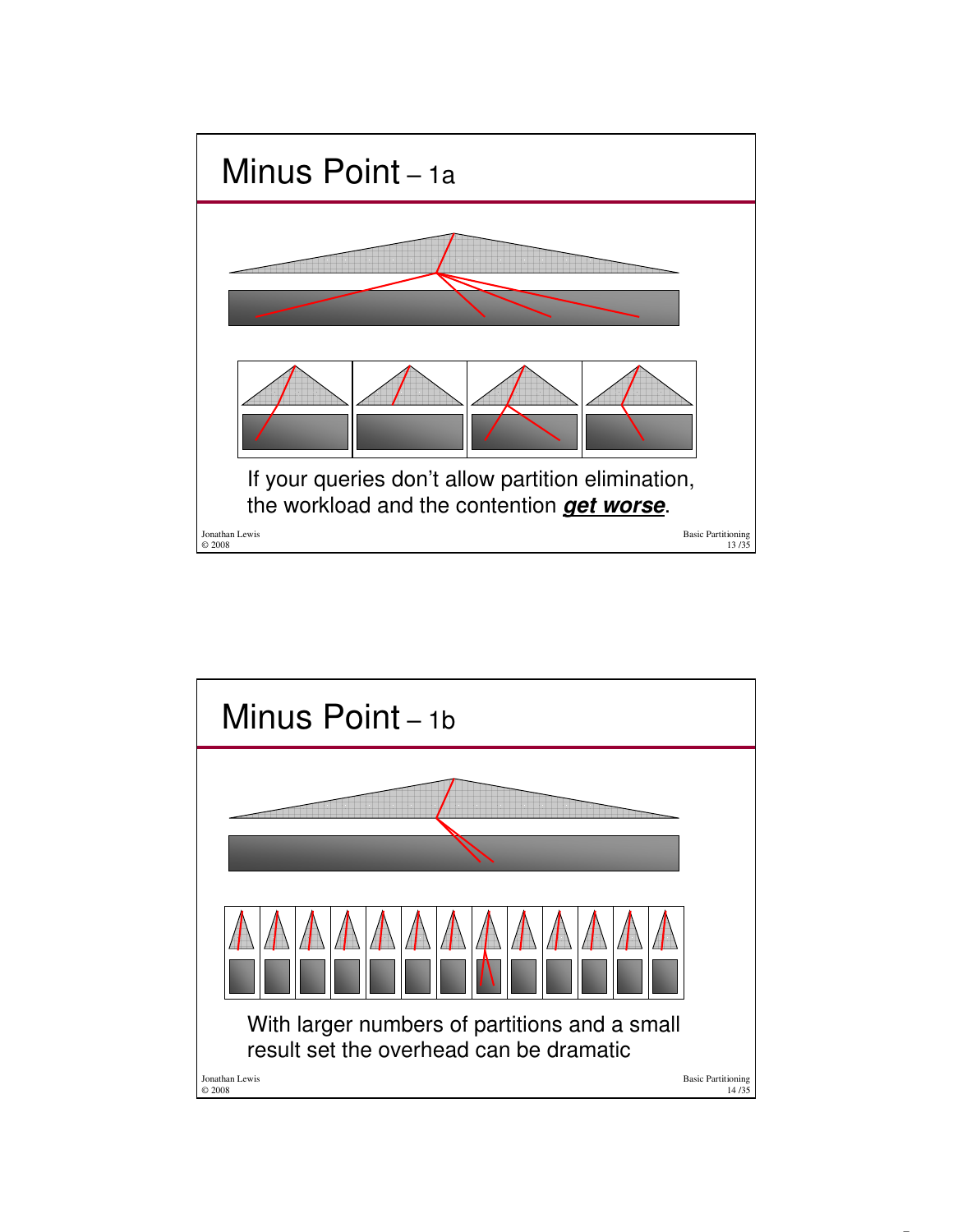

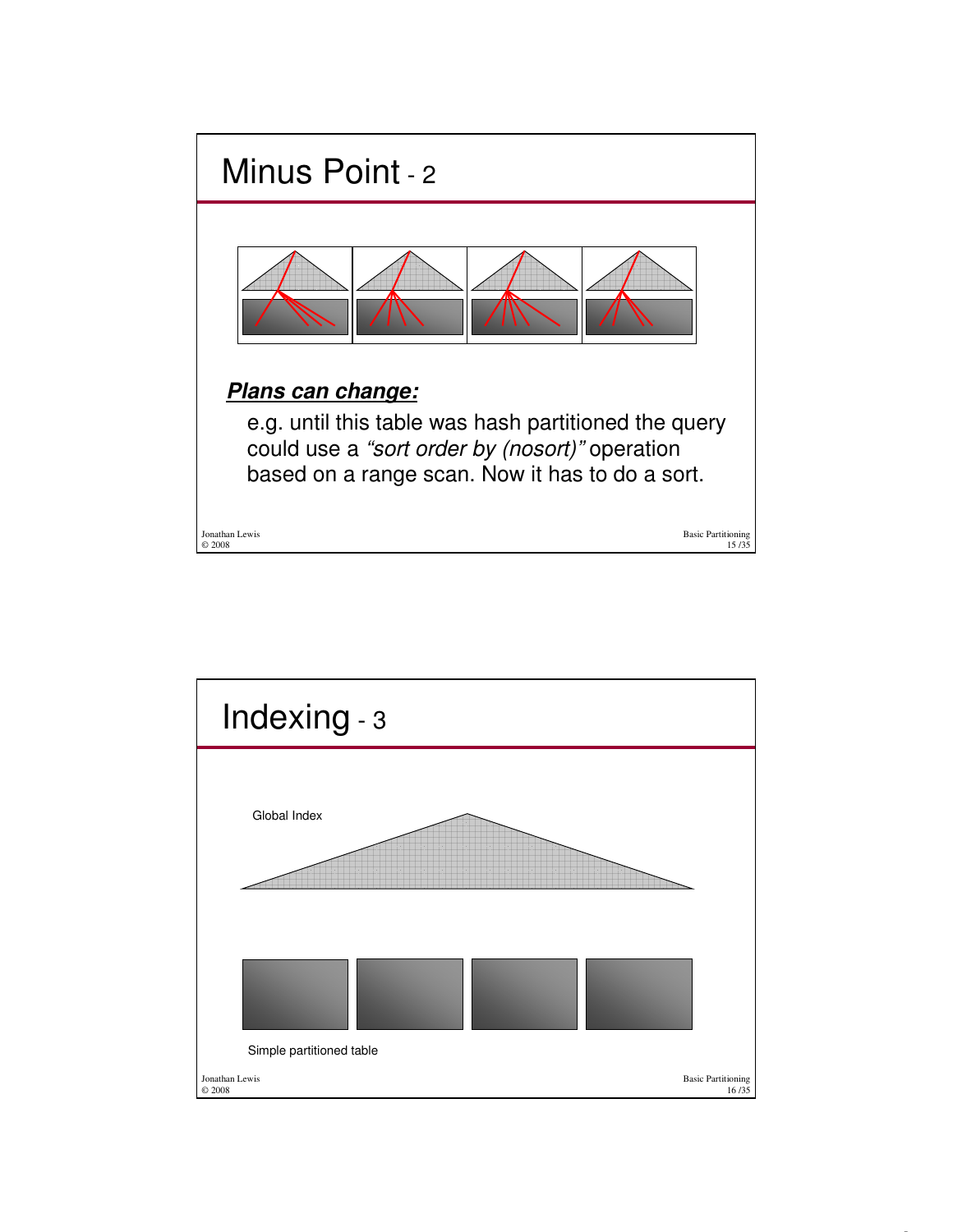

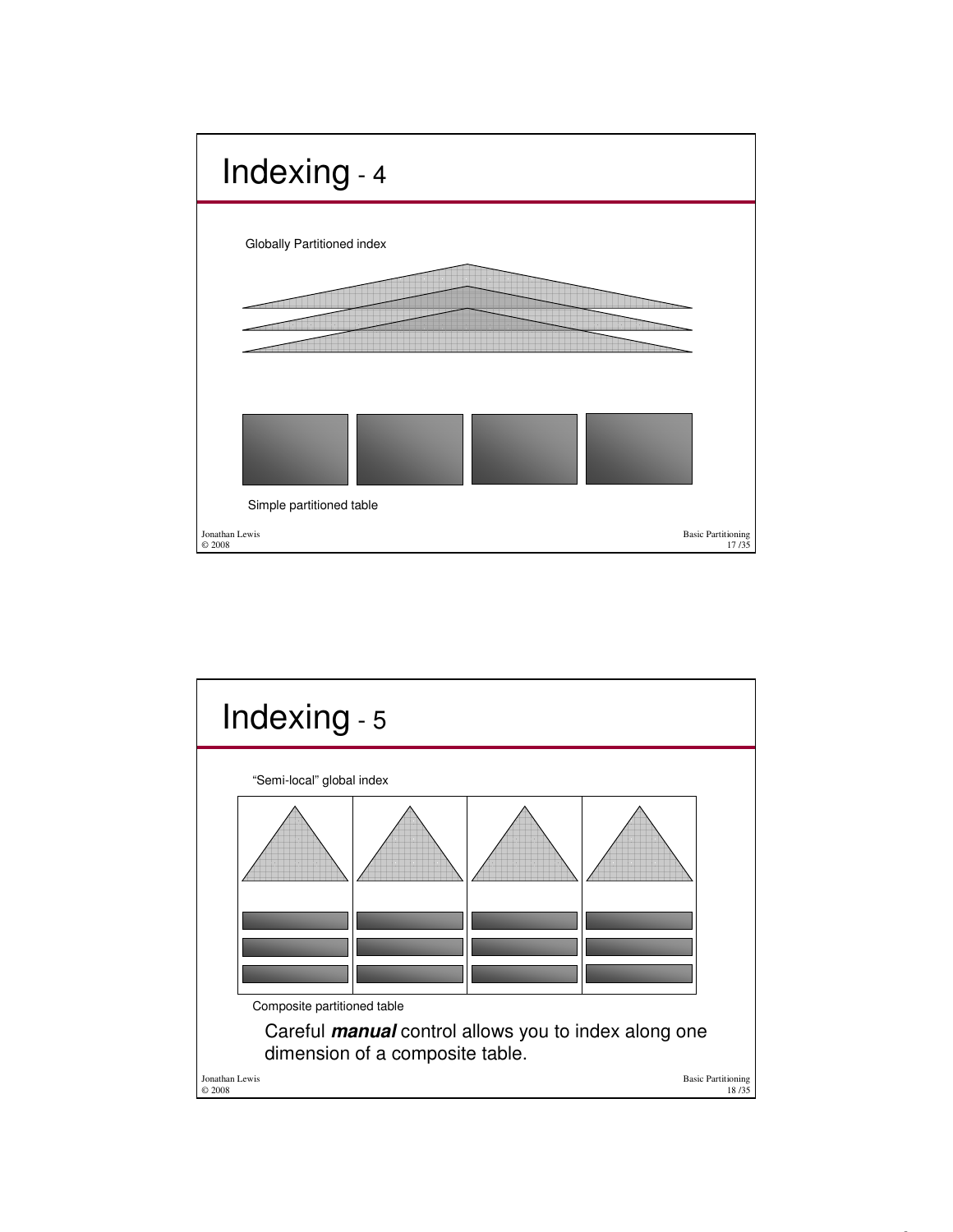

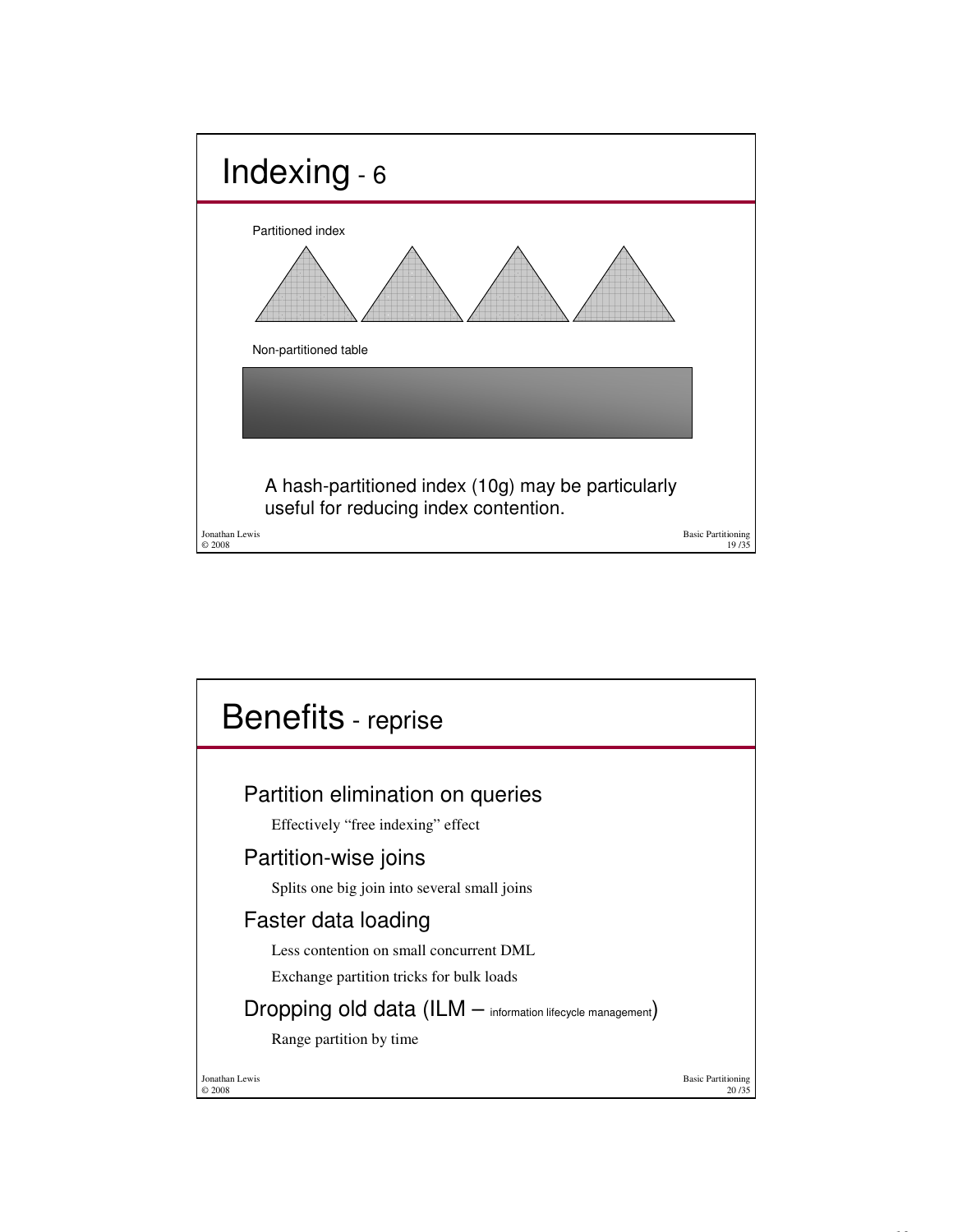

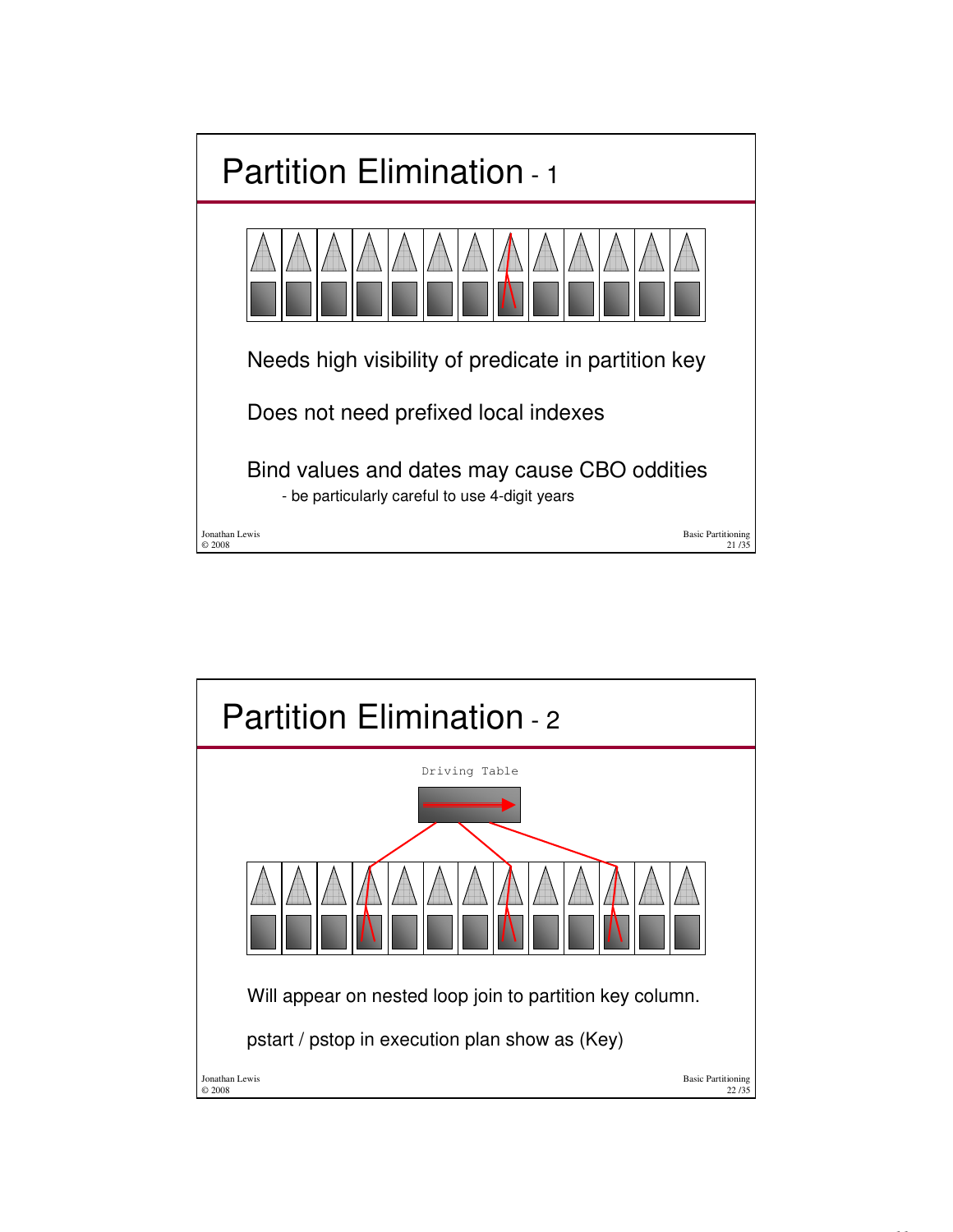

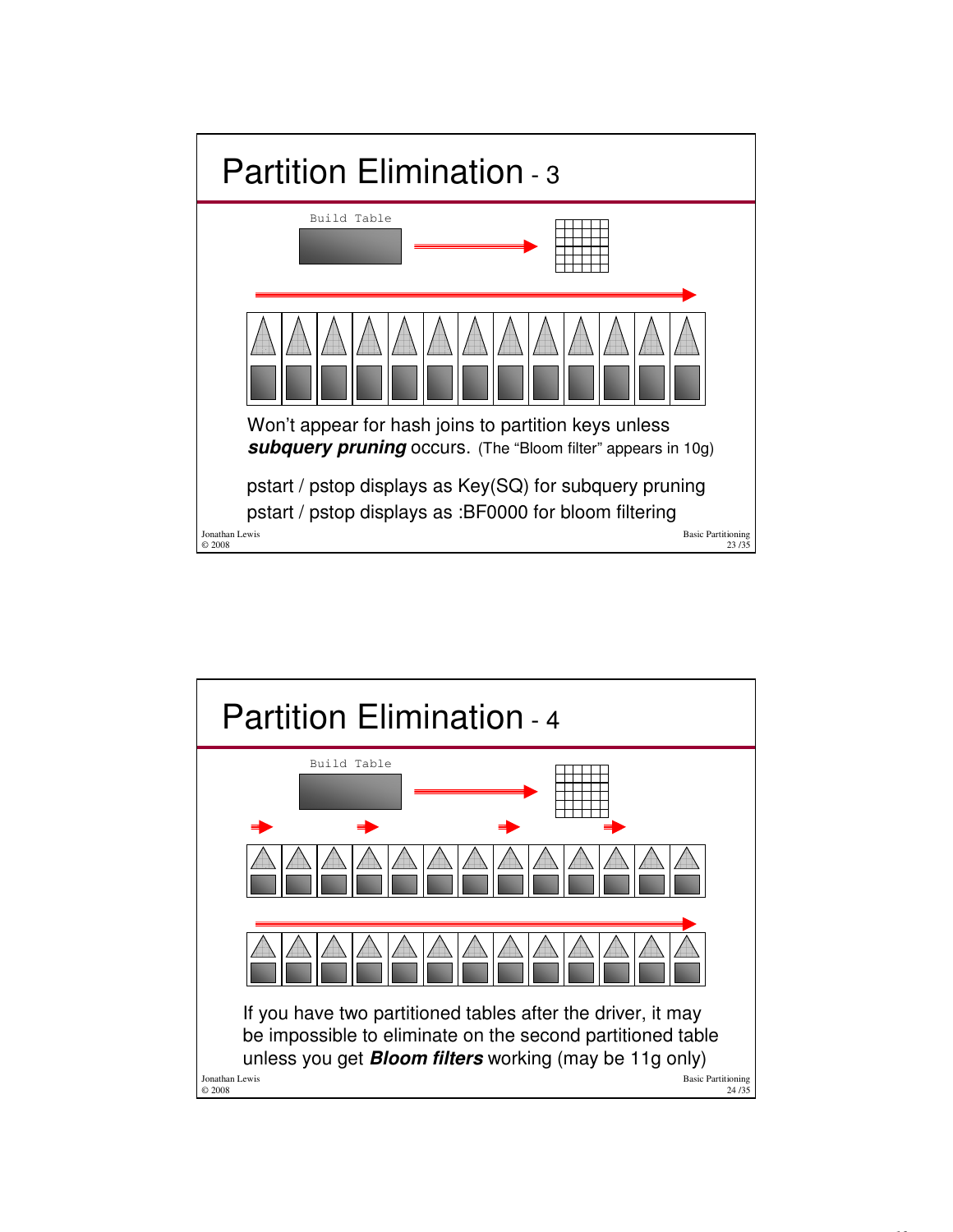

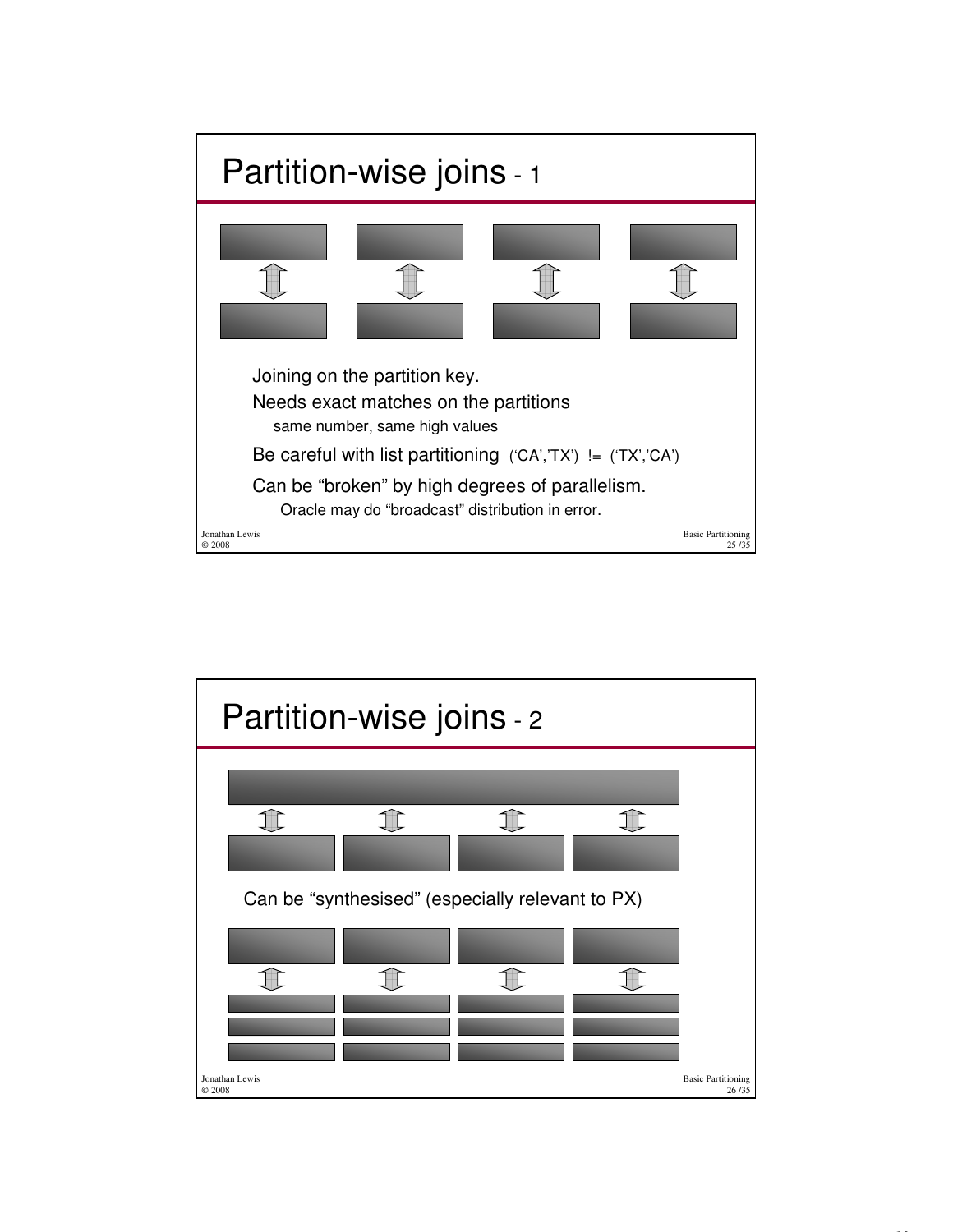

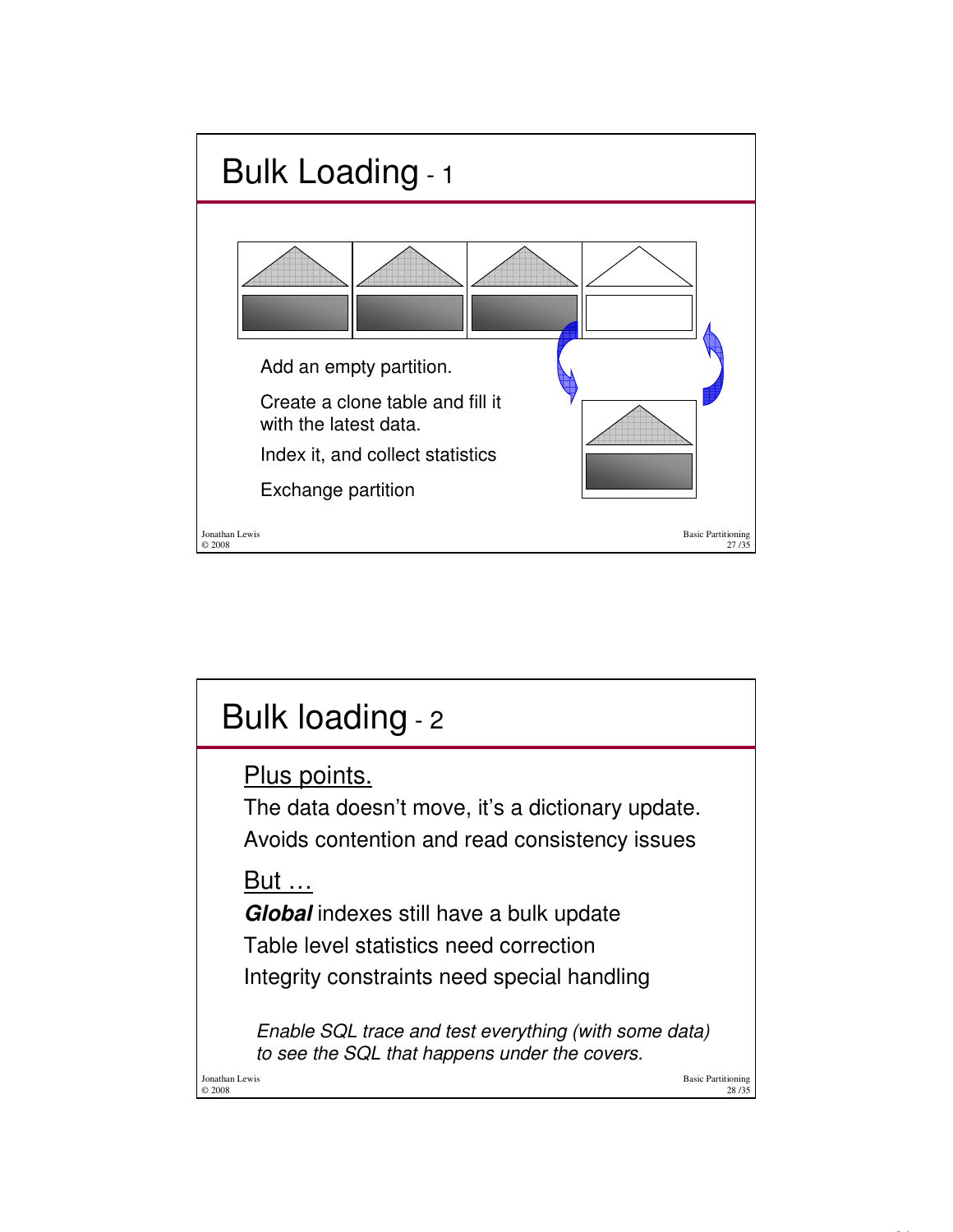

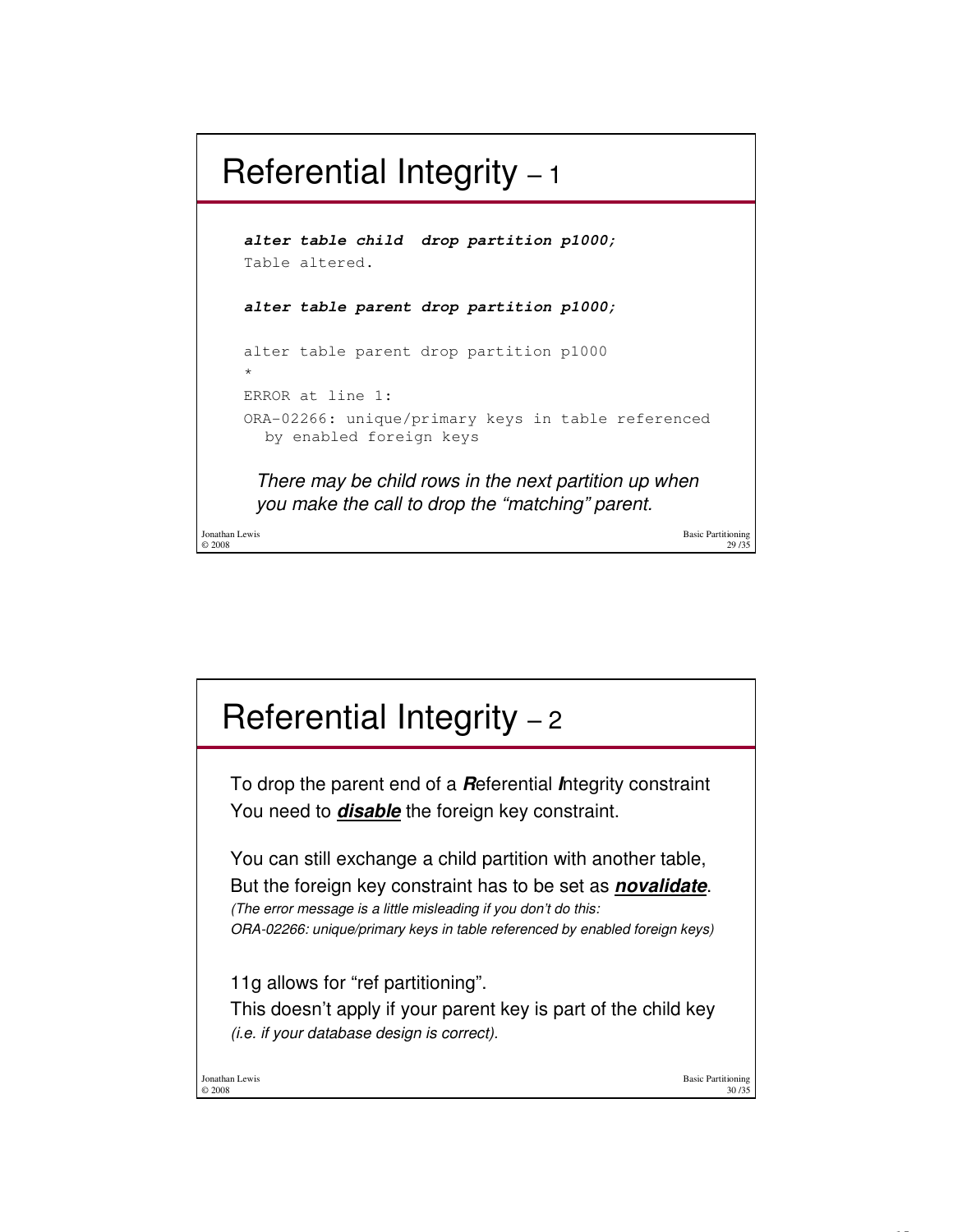## Referential Integrity – 1

Basic Partitioning **alter table child drop partition p1000;** Table altered. There may be child rows in the next partition up when you make the call to drop the "matching" parent. **alter table parent drop partition p1000;** alter table parent drop partition p1000 \* ERROR at line 1: ORA-02266: unique/primary keys in table referenced by enabled foreign keys

29 /35

Jonathan Lewis © 2008

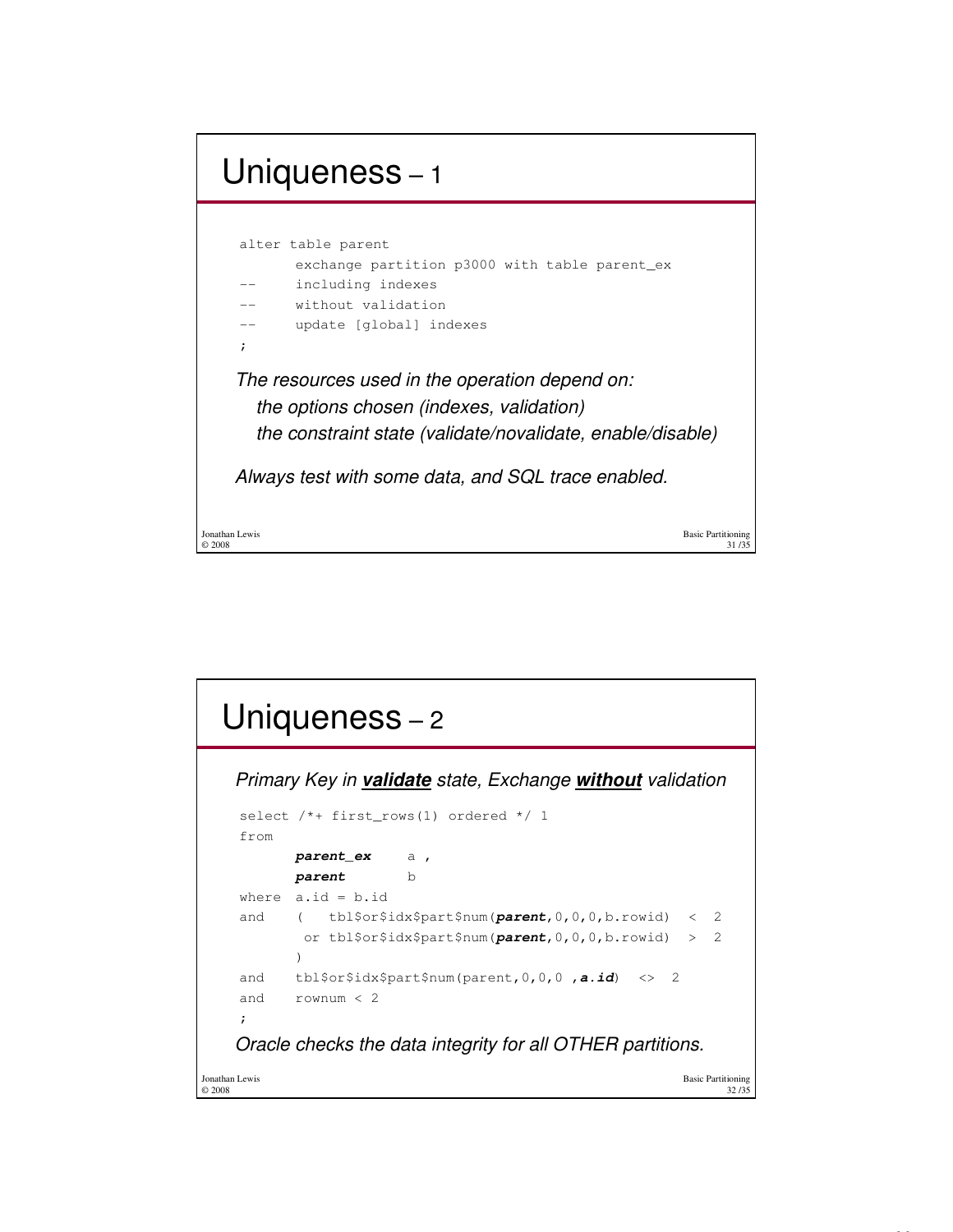

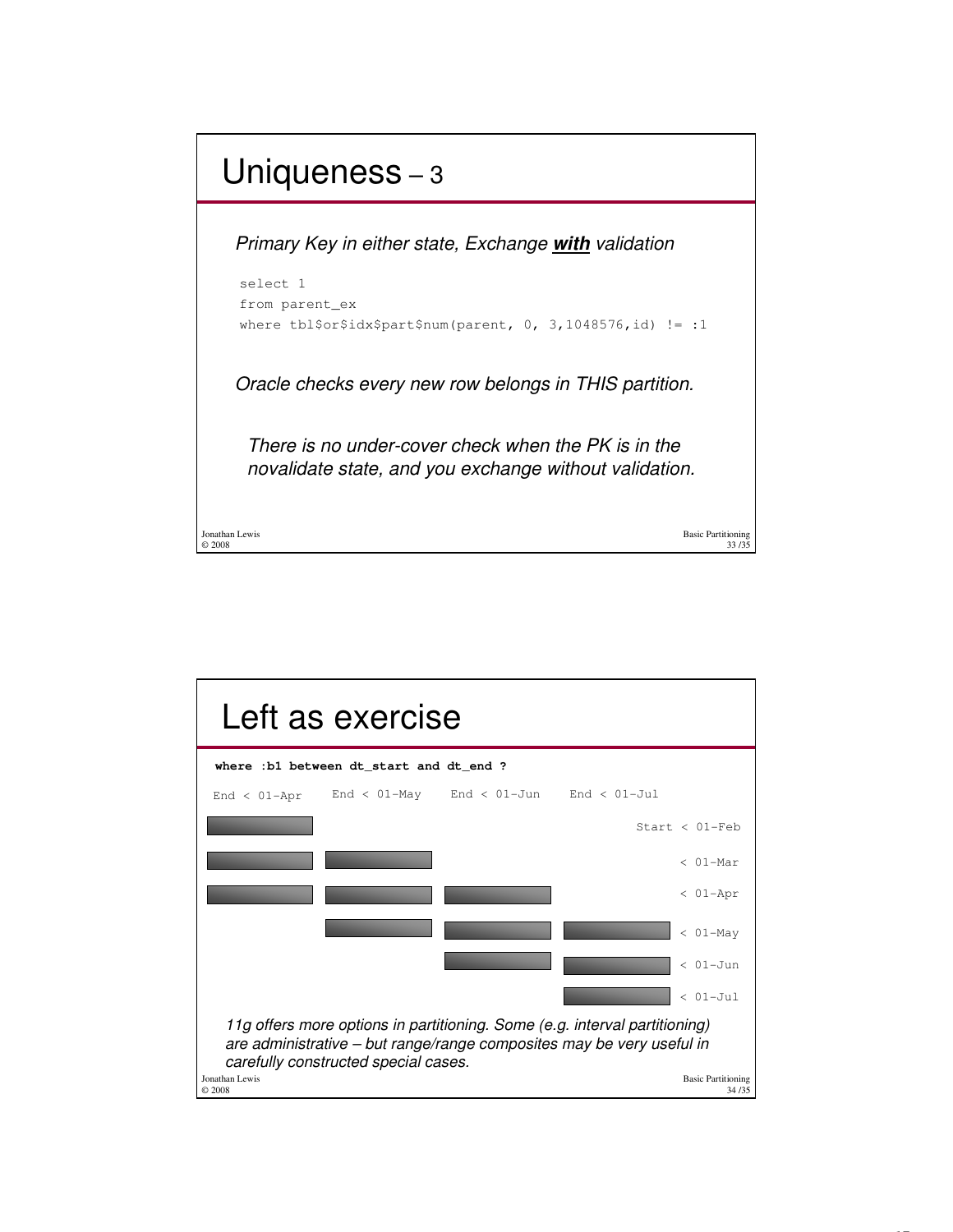

| Left as exercise                                                                                                                                                                            |                                                 |                                    |
|---------------------------------------------------------------------------------------------------------------------------------------------------------------------------------------------|-------------------------------------------------|------------------------------------|
| where : b1 between dt start and dt end ?                                                                                                                                                    |                                                 |                                    |
| $End < 01 - Appr$                                                                                                                                                                           | End < $01$ -May End < $01$ -Jun End < $01$ -Jul |                                    |
|                                                                                                                                                                                             |                                                 | Start $< 01$ -Feb                  |
|                                                                                                                                                                                             |                                                 | $< 01-Mar$                         |
|                                                                                                                                                                                             |                                                 | $< 01 - Apr$                       |
|                                                                                                                                                                                             |                                                 | $< 01-May$                         |
|                                                                                                                                                                                             |                                                 | $< 01 - Jun$                       |
|                                                                                                                                                                                             |                                                 | $< 01 - Ju1$                       |
| 11g offers more options in partitioning. Some (e.g. interval partitioning)<br>are administrative - but range/range composites may be very useful in<br>carefully constructed special cases. |                                                 |                                    |
| Jonathan Lewis<br>© 2008                                                                                                                                                                    |                                                 | <b>Basic Partitioning</b><br>34/35 |